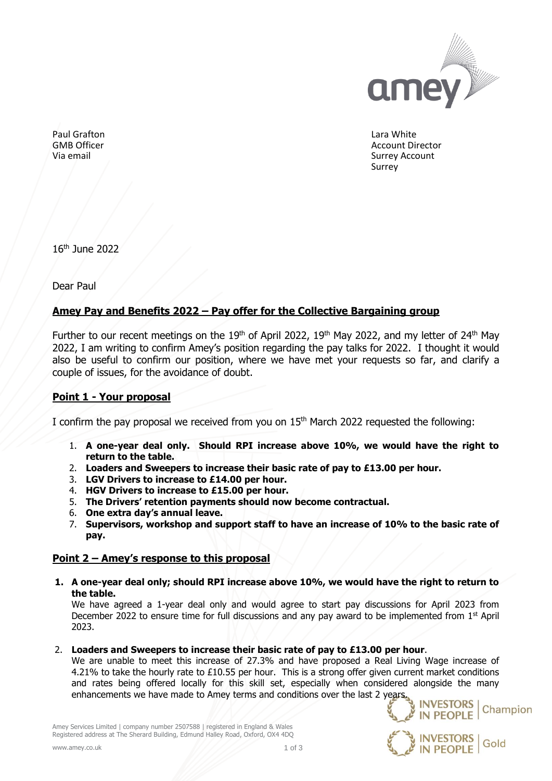

Lara White Account Director Surrey Account **Surrey** 

Paul Grafton GMB Officer Via email

16 th June 2022

Dear Paul

## **Amey Pay and Benefits 2022 – Pay offer for the Collective Bargaining group**

Further to our recent meetings on the  $19<sup>th</sup>$  of April 2022,  $19<sup>th</sup>$  May 2022, and my letter of 24<sup>th</sup> May 2022, I am writing to confirm Amey's position regarding the pay talks for 2022. I thought it would also be useful to confirm our position, where we have met your requests so far, and clarify a couple of issues, for the avoidance of doubt.

# **Point 1 - Your proposal**

I confirm the pay proposal we received from you on 15<sup>th</sup> March 2022 requested the following:

- 1. **A one-year deal only. Should RPI increase above 10%, we would have the right to return to the table.**
- 2. **Loaders and Sweepers to increase their basic rate of pay to £13.00 per hour.**
- 3. **LGV Drivers to increase to £14.00 per hour.**
- 4. **HGV Drivers to increase to £15.00 per hour.**
- 5. **The Drivers' retention payments should now become contractual.**
- 6. **One extra day's annual leave.**
- 7. **Supervisors, workshop and support staff to have an increase of 10% to the basic rate of pay.**

### **Point 2 – Amey's response to this proposal**

**1. A one-year deal only; should RPI increase above 10%, we would have the right to return to the table.** 

We have agreed a 1-year deal only and would agree to start pay discussions for April 2023 from December 2022 to ensure time for full discussions and any pay award to be implemented from  $1<sup>st</sup>$  April 2023.

2. **Loaders and Sweepers to increase their basic rate of pay to £13.00 per hour**.

We are unable to meet this increase of 27.3% and have proposed a Real Living Wage increase of 4.21% to take the hourly rate to £10.55 per hour. This is a strong offer given current market conditions and rates being offered locally for this skill set, especially when considered alongside the many enhancements we have made to Amey terms and conditions over the last 2 years.



Amey Services Limited | company number 2507588 | registered in England & Wales Registered address at The Sherard Building, Edmund Halley Road, Oxford, OX4 4DQ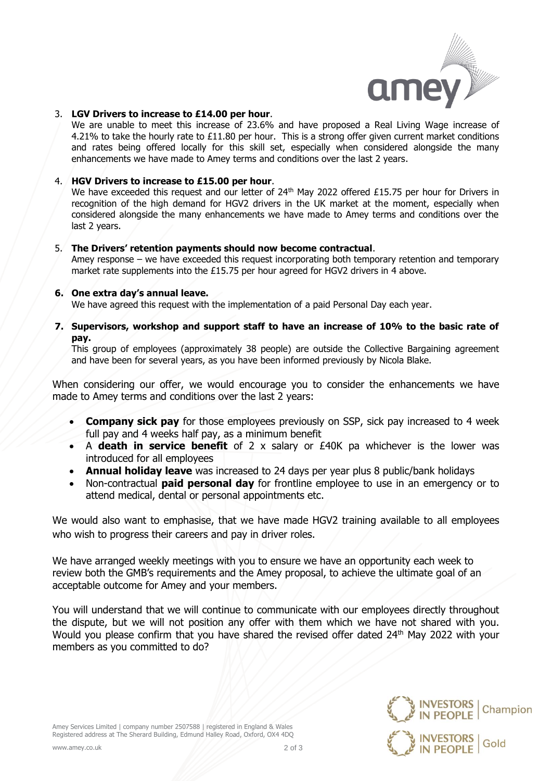

**INVESTORS** 

**IN PEOPLE** 

**INVESTORS** 

**IN PEOPLE** 

Champion

Gold

#### 3. **LGV Drivers to increase to £14.00 per hour**.

We are unable to meet this increase of 23.6% and have proposed a Real Living Wage increase of 4.21% to take the hourly rate to £11.80 per hour. This is a strong offer given current market conditions and rates being offered locally for this skill set, especially when considered alongside the many enhancements we have made to Amey terms and conditions over the last 2 years.

### 4. **HGV Drivers to increase to £15.00 per hour**.

We have exceeded this request and our letter of  $24<sup>th</sup>$  May 2022 offered £15.75 per hour for Drivers in recognition of the high demand for HGV2 drivers in the UK market at the moment, especially when considered alongside the many enhancements we have made to Amey terms and conditions over the last 2 years.

#### 5. **The Drivers' retention payments should now become contractual**.

Amey response – we have exceeded this request incorporating both temporary retention and temporary market rate supplements into the £15.75 per hour agreed for HGV2 drivers in 4 above.

#### **6. One extra day's annual leave.**

We have agreed this request with the implementation of a paid Personal Day each year.

**7. Supervisors, workshop and support staff to have an increase of 10% to the basic rate of pay.**

This group of employees (approximately 38 people) are outside the Collective Bargaining agreement and have been for several years, as you have been informed previously by Nicola Blake.

When considering our offer, we would encourage you to consider the enhancements we have made to Amey terms and conditions over the last 2 years:

- **Company sick pay** for those employees previously on SSP, sick pay increased to 4 week full pay and 4 weeks half pay, as a minimum benefit
- A **death in service benefit** of 2 x salary or £40K pa whichever is the lower was introduced for all employees
- **Annual holiday leave** was increased to 24 days per year plus 8 public/bank holidays
- Non-contractual **paid personal day** for frontline employee to use in an emergency or to attend medical, dental or personal appointments etc.

We would also want to emphasise, that we have made HGV2 training available to all employees who wish to progress their careers and pay in driver roles.

We have arranged weekly meetings with you to ensure we have an opportunity each week to review both the GMB's requirements and the Amey proposal, to achieve the ultimate goal of an acceptable outcome for Amey and your members.

You will understand that we will continue to communicate with our employees directly throughout the dispute, but we will not position any offer with them which we have not shared with you. Would you please confirm that you have shared the revised offer dated 24<sup>th</sup> May 2022 with your members as you committed to do?

Amey Services Limited | company number 2507588 | registered in England & Wales Registered address at The Sherard Building, Edmund Halley Road, Oxford, OX4 4DQ